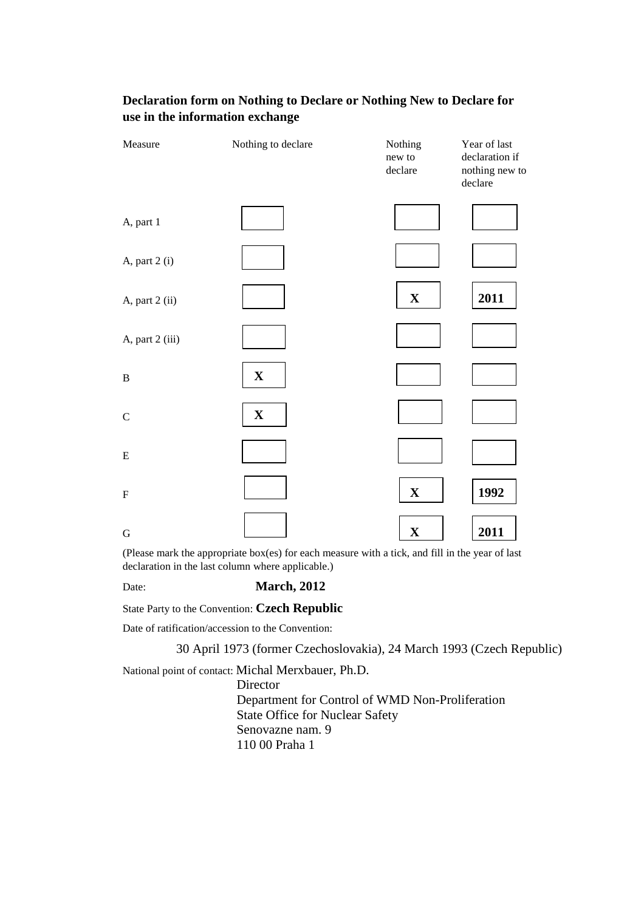| Measure         | Nothing to declare | Nothing<br>new to<br>declare | Year of last<br>declaration if<br>nothing new to<br>declare |
|-----------------|--------------------|------------------------------|-------------------------------------------------------------|
| A, part 1       |                    |                              |                                                             |
| A, part 2 (i)   |                    |                              |                                                             |
| A, part 2 (ii)  |                    | $\mathbf X$                  | 2011                                                        |
| A, part 2 (iii) |                    |                              |                                                             |
| $\, {\bf B}$    | $\mathbf X$        |                              |                                                             |
| ${\bf C}$       | $\mathbf X$        |                              |                                                             |
| ${\bf E}$       |                    |                              |                                                             |
| ${\bf F}$       |                    | $\mathbf X$                  | 1992                                                        |
| $\mathbf G$     |                    | $\mathbf X$                  | 2011                                                        |

# **Declaration form on Nothing to Declare or Nothing New to Declare for use in the information exchange**

(Please mark the appropriate box(es) for each measure with a tick, and fill in the year of last declaration in the last column where applicable.)

### Date: **March, 2012**

State Party to the Convention: **Czech Republic** 

Date of ratification/accession to the Convention:

30 April 1973 (former Czechoslovakia), 24 March 1993 (Czech Republic)

National point of contact: Michal Merxbauer, Ph.D.

Director Department for Control of WMD Non-Proliferation State Office for Nuclear Safety Senovazne nam. 9 110 00 Praha 1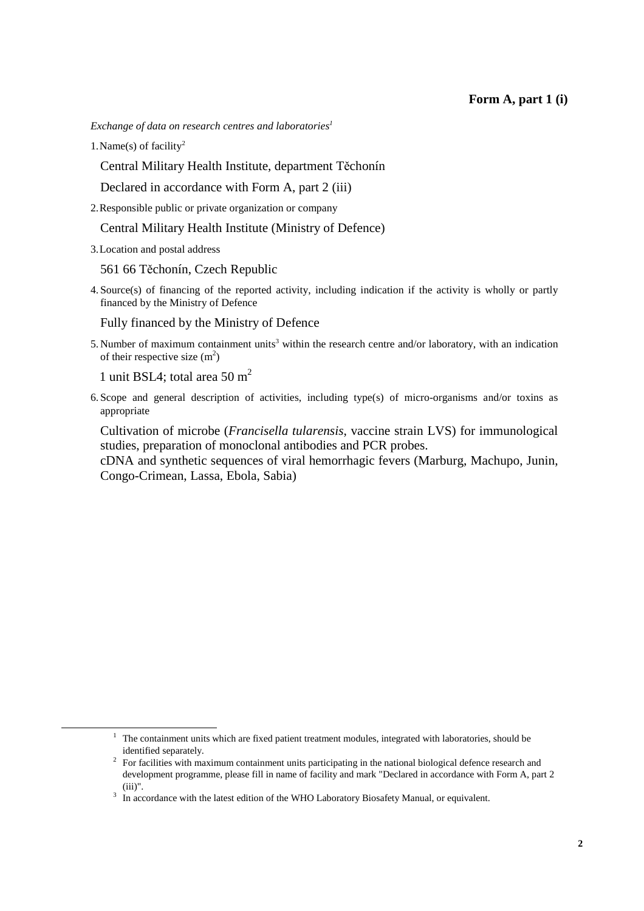*Exchange of data on research centres and laboratories<sup>1</sup>*

1. Name(s) of facility<sup>2</sup>

Central Military Health Institute, department Těchonín

Declared in accordance with Form A, part 2 (iii)

2. Responsible public or private organization or company

Central Military Health Institute (Ministry of Defence)

3. Location and postal address

561 66 Těchonín, Czech Republic

4. Source(s) of financing of the reported activity, including indication if the activity is wholly or partly financed by the Ministry of Defence

Fully financed by the Ministry of Defence

5. Number of maximum containment units<sup>3</sup> within the research centre and/or laboratory, with an indication of their respective size  $(m^2)$ 

1 unit BSL4; total area 50 m<sup>2</sup>

 $\overline{a}$ 

6. Scope and general description of activities, including type(s) of micro-organisms and/or toxins as appropriate

Cultivation of microbe (*Francisella tularensis*, vaccine strain LVS) for immunological studies, preparation of monoclonal antibodies and PCR probes.

cDNA and synthetic sequences of viral hemorrhagic fevers (Marburg, Machupo, Junin, Congo-Crimean, Lassa, Ebola, Sabia)

<sup>&</sup>lt;sup>1</sup> The containment units which are fixed patient treatment modules, integrated with laboratories, should be identified separately.

<sup>&</sup>lt;sup>2</sup> For facilities with maximum containment units participating in the national biological defence research and development programme, please fill in name of facility and mark "Declared in accordance with Form A, part 2 (iii)".

<sup>&</sup>lt;sup>3</sup> In accordance with the latest edition of the WHO Laboratory Biosafety Manual, or equivalent.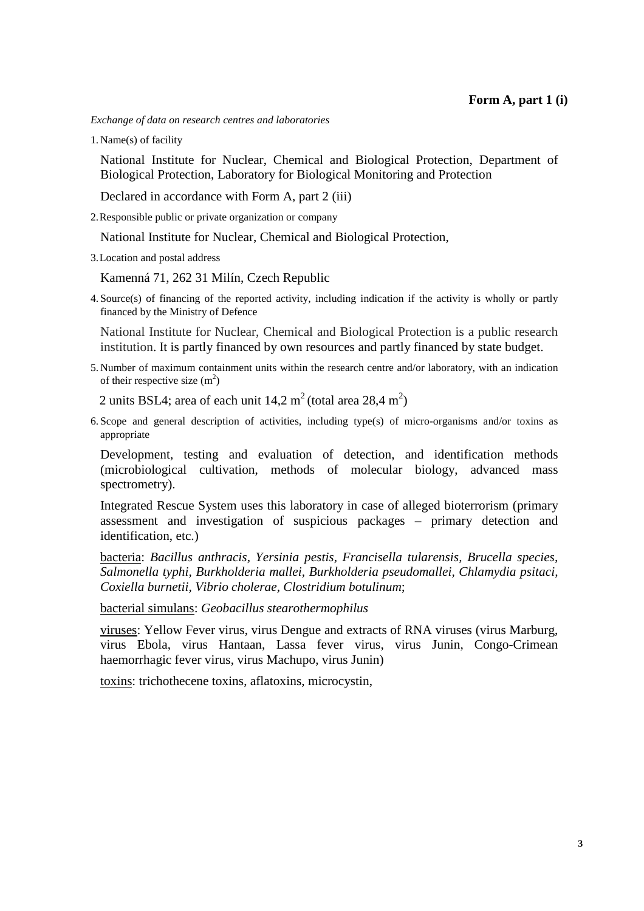*Exchange of data on research centres and laboratories*

1. Name(s) of facility

National Institute for Nuclear, Chemical and Biological Protection, Department of Biological Protection, Laboratory for Biological Monitoring and Protection

Declared in accordance with Form A, part 2 (iii)

2. Responsible public or private organization or company

National Institute for Nuclear, Chemical and Biological Protection,

3. Location and postal address

Kamenná 71, 262 31 Milín, Czech Republic

4. Source(s) of financing of the reported activity, including indication if the activity is wholly or partly financed by the Ministry of Defence

National Institute for Nuclear, Chemical and Biological Protection is a public research institution. It is partly financed by own resources and partly financed by state budget.

5. Number of maximum containment units within the research centre and/or laboratory, with an indication of their respective size  $(m^2)$ 

2 units BSL4; area of each unit  $14.2 \text{ m}^2$  (total area  $28.4 \text{ m}^2$ )

6. Scope and general description of activities, including type(s) of micro-organisms and/or toxins as appropriate

Development, testing and evaluation of detection, and identification methods (microbiological cultivation, methods of molecular biology, advanced mass spectrometry).

Integrated Rescue System uses this laboratory in case of alleged bioterrorism (primary assessment and investigation of suspicious packages – primary detection and identification, etc.)

bacteria: *Bacillus anthracis, Yersinia pestis, Francisella tularensis, Brucella species, Salmonella typhi, Burkholderia mallei, Burkholderia pseudomallei, Chlamydia psitaci, Coxiella burnetii, Vibrio cholerae, Clostridium botulinum*;

bacterial simulans: *Geobacillus stearothermophilus* 

viruses: Yellow Fever virus, virus Dengue and extracts of RNA viruses (virus Marburg, virus Ebola, virus Hantaan, Lassa fever virus, virus Junin, Congo-Crimean haemorrhagic fever virus, virus Machupo, virus Junin)

toxins: trichothecene toxins, aflatoxins, microcystin,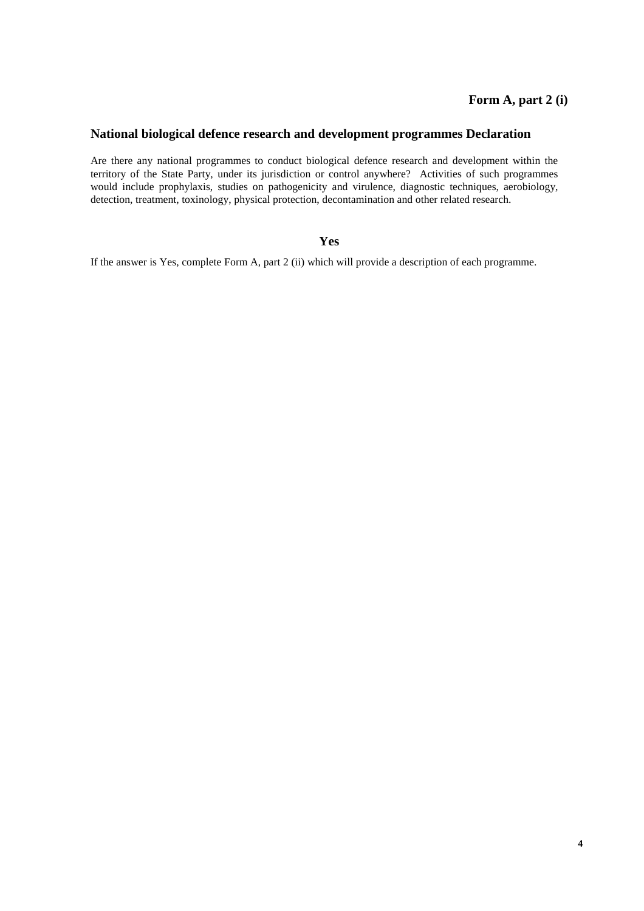## **National biological defence research and development programmes Declaration**

Are there any national programmes to conduct biological defence research and development within the territory of the State Party, under its jurisdiction or control anywhere? Activities of such programmes would include prophylaxis, studies on pathogenicity and virulence, diagnostic techniques, aerobiology, detection, treatment, toxinology, physical protection, decontamination and other related research.

#### **Yes**

If the answer is Yes, complete Form A, part 2 (ii) which will provide a description of each programme.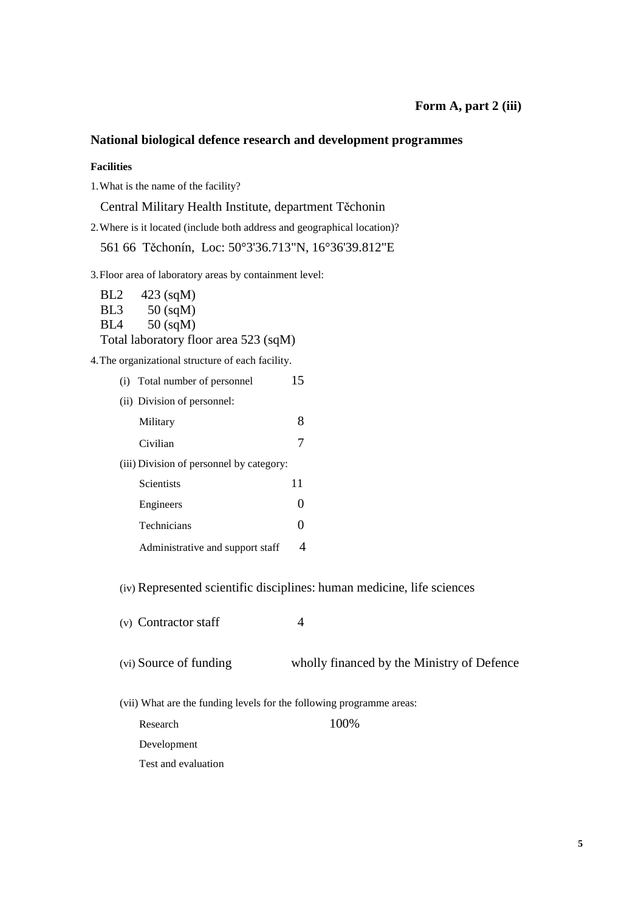## **National biological defence research and development programmes**

#### **Facilities**

1. What is the name of the facility?

Central Military Health Institute, department Těchonin

2. Where is it located (include both address and geographical location)?

561 66 Těchonín, Loc: 50°3'36.713"N, 16°36'39.812"E

3. Floor area of laboratory areas by containment level:

BL2 423 (sqM) BL3 50 (sqM) BL4 50 (sqM) Total laboratory floor area 523 (sqM)

4. The organizational structure of each facility.

|                                          | (i) Total number of personnel    | 15 |
|------------------------------------------|----------------------------------|----|
|                                          | (ii) Division of personnel:      |    |
|                                          | Military                         | 8  |
|                                          | Civilian                         | 7  |
| (iii) Division of personnel by category: |                                  |    |
|                                          | Scientists                       | 11 |
|                                          | Engineers                        | 0  |
|                                          | Technicians                      |    |
|                                          | Administrative and support staff |    |
|                                          |                                  |    |

(iv) Represented scientific disciplines: human medicine, life sciences

| (v) Contractor staff |  |
|----------------------|--|
|----------------------|--|

(vi) Source of funding wholly financed by the Ministry of Defence

(vii) What are the funding levels for the following programme areas:

Research 100% Development Test and evaluation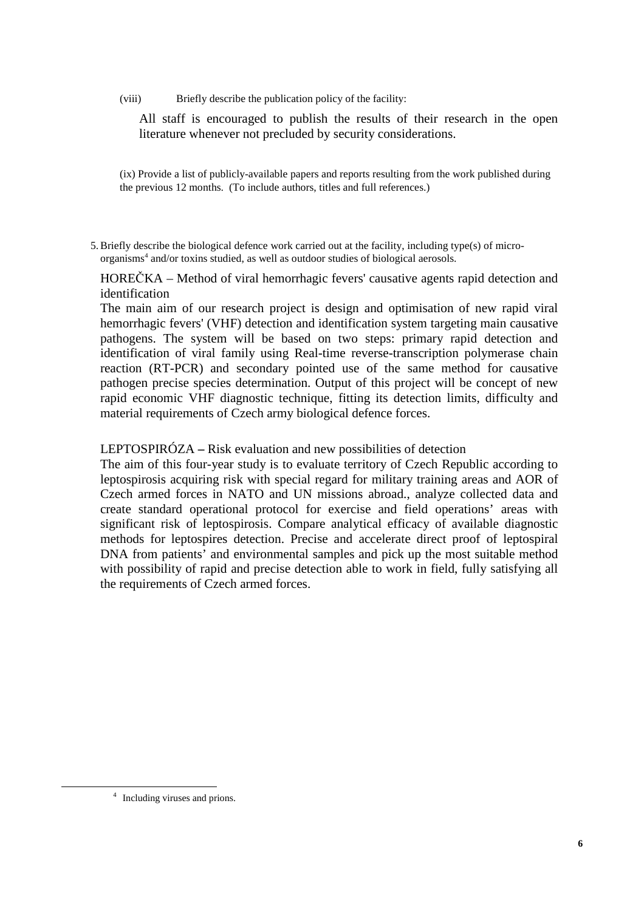All staff is encouraged to publish the results of their research in the open literature whenever not precluded by security considerations.

(ix) Provide a list of publicly-available papers and reports resulting from the work published during the previous 12 months. (To include authors, titles and full references.)

5.Briefly describe the biological defence work carried out at the facility, including type(s) of microorganisms<sup>4</sup> and/or toxins studied, as well as outdoor studies of biological aerosols.

HOREČKA – Method of viral hemorrhagic fevers' causative agents rapid detection and identification

The main aim of our research project is design and optimisation of new rapid viral hemorrhagic fevers' (VHF) detection and identification system targeting main causative pathogens. The system will be based on two steps: primary rapid detection and identification of viral family using Real-time reverse-transcription polymerase chain reaction (RT-PCR) and secondary pointed use of the same method for causative pathogen precise species determination. Output of this project will be concept of new rapid economic VHF diagnostic technique, fitting its detection limits, difficulty and material requirements of Czech army biological defence forces.

LEPTOSPIRÓZA **–** Risk evaluation and new possibilities of detection

The aim of this four-year study is to evaluate territory of Czech Republic according to leptospirosis acquiring risk with special regard for military training areas and AOR of Czech armed forces in NATO and UN missions abroad., analyze collected data and create standard operational protocol for exercise and field operations' areas with significant risk of leptospirosis. Compare analytical efficacy of available diagnostic methods for leptospires detection. Precise and accelerate direct proof of leptospiral DNA from patients' and environmental samples and pick up the most suitable method with possibility of rapid and precise detection able to work in field, fully satisfying all the requirements of Czech armed forces.

 $\overline{a}$ 

<sup>&</sup>lt;sup>4</sup> Including viruses and prions.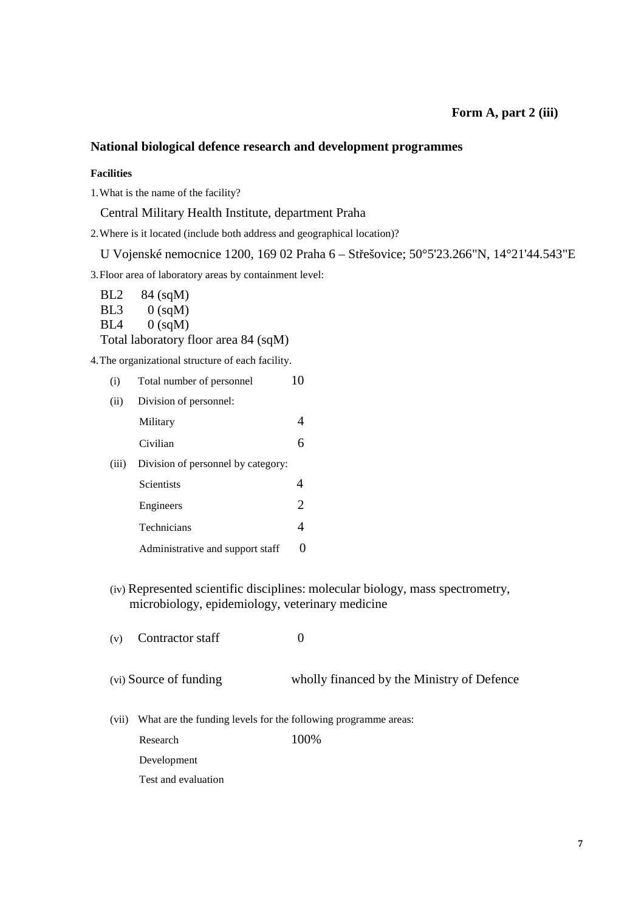### **Form A, part 2 (iii)**

## **National biological defence research and development programmes**

#### **Facilities**

1. What is the name of the facility?

Central Military Health Institute, department Praha

2. Where is it located (include both address and geographical location)?

U Vojenské nemocnice 1200, 169 02 Praha 6 – Střešovice; 50°5'23.266"N, 14°21'44.543"E

3. Floor area of laboratory areas by containment level:

BL2 84 (sqM) BL3 0 (sqM)  $BL4 \qquad 0$  (sqM) Total laboratory floor area 84 (sqM)

4. The organizational structure of each facility.

| (i)   | Total number of personnel          | 10             |
|-------|------------------------------------|----------------|
| (ii)  | Division of personnel:             |                |
|       | Military                           |                |
|       | Civilian                           | 6              |
| (iii) | Division of personnel by category: |                |
|       | <b>Scientists</b>                  |                |
|       | Engineers                          | $\overline{2}$ |
|       | Technicians                        | 4              |
|       | Administrative and support staff   |                |

(iv) Represented scientific disciplines: molecular biology, mass spectrometry, microbiology, epidemiology, veterinary medicine

(v) Contractor staff  $0$ (vi) Source of funding wholly financed by the Ministry of Defence (vii) What are the funding levels for the following programme areas: Research 100% Development Test and evaluation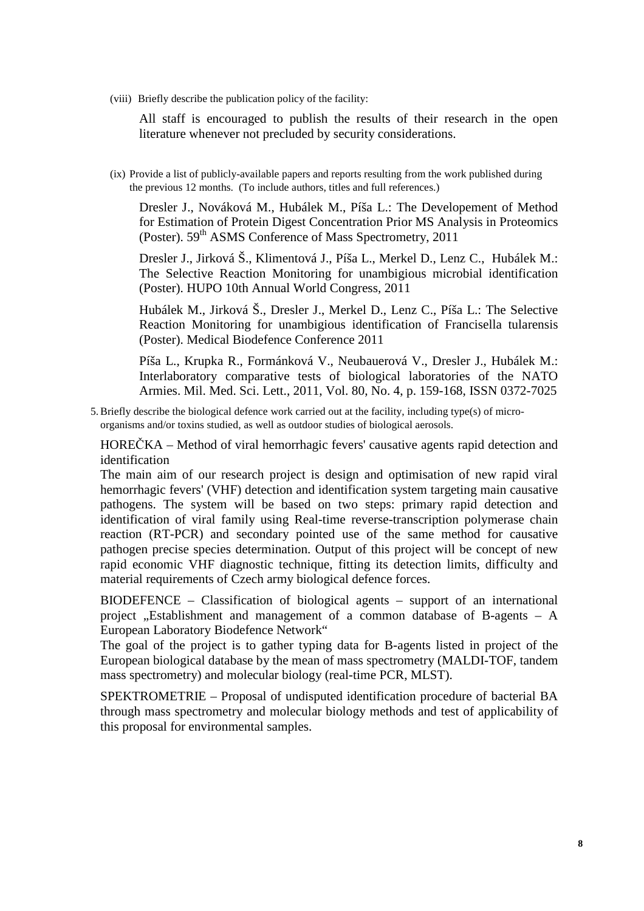All staff is encouraged to publish the results of their research in the open literature whenever not precluded by security considerations.

(ix) Provide a list of publicly-available papers and reports resulting from the work published during the previous 12 months. (To include authors, titles and full references.)

Dresler J., Nováková M., Hubálek M., Píša L.: The Developement of Method for Estimation of Protein Digest Concentration Prior MS Analysis in Proteomics (Poster). 59<sup>th</sup> ASMS Conference of Mass Spectrometry, 2011

Dresler J., Jirková Š., Klimentová J., Píša L., Merkel D., Lenz C., Hubálek M.: The Selective Reaction Monitoring for unambigious microbial identification (Poster). HUPO 10th Annual World Congress, 2011

Hubálek M., Jirková Š., Dresler J., Merkel D., Lenz C., Píša L.: The Selective Reaction Monitoring for unambigious identification of Francisella tularensis (Poster). Medical Biodefence Conference 2011

Píša L., Krupka R., Formánková V., Neubauerová V., Dresler J., Hubálek M.: Interlaboratory comparative tests of biological laboratories of the NATO Armies. Mil. Med. Sci. Lett., 2011, Vol. 80, No. 4, p. 159-168, ISSN 0372-7025

5.Briefly describe the biological defence work carried out at the facility, including type(s) of microorganisms and/or toxins studied, as well as outdoor studies of biological aerosols.

HOREČKA – Method of viral hemorrhagic fevers' causative agents rapid detection and identification

The main aim of our research project is design and optimisation of new rapid viral hemorrhagic fevers' (VHF) detection and identification system targeting main causative pathogens. The system will be based on two steps: primary rapid detection and identification of viral family using Real-time reverse-transcription polymerase chain reaction (RT-PCR) and secondary pointed use of the same method for causative pathogen precise species determination. Output of this project will be concept of new rapid economic VHF diagnostic technique, fitting its detection limits, difficulty and material requirements of Czech army biological defence forces.

BIODEFENCE – Classification of biological agents – support of an international project  $\Delta$ . Establishment and management of a common database of B-agents – A European Laboratory Biodefence Network"

The goal of the project is to gather typing data for B-agents listed in project of the European biological database by the mean of mass spectrometry (MALDI-TOF, tandem mass spectrometry) and molecular biology (real-time PCR, MLST).

SPEKTROMETRIE – Proposal of undisputed identification procedure of bacterial BA through mass spectrometry and molecular biology methods and test of applicability of this proposal for environmental samples.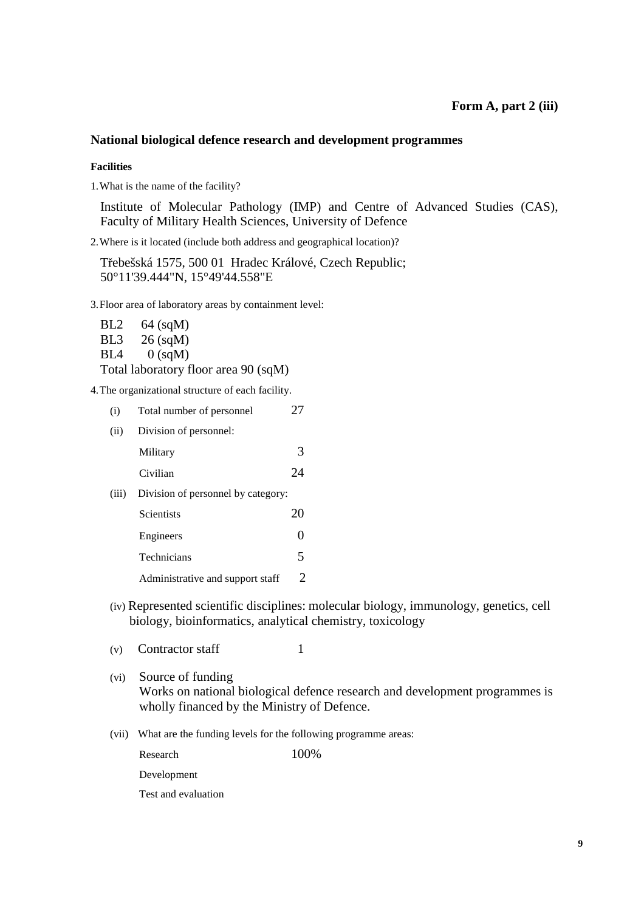### **National biological defence research and development programmes**

#### **Facilities**

1. What is the name of the facility?

Institute of Molecular Pathology (IMP) and Centre of Advanced Studies (CAS), Faculty of Military Health Sciences, University of Defence

2. Where is it located (include both address and geographical location)?

Třebešská 1575, 500 01 Hradec Králové, Czech Republic; 50°11'39.444"N, 15°49'44.558"E

3. Floor area of laboratory areas by containment level:

BL2 64 (sqM) BL3 26 (sqM)  $BL4 \qquad 0$  (sqM) Total laboratory floor area 90 (sqM)

4. The organizational structure of each facility.

| (i)                                         | Total number of personnel | 27 |
|---------------------------------------------|---------------------------|----|
| (ii)                                        | Division of personnel:    |    |
|                                             | Military                  | 3  |
|                                             | Civilian                  | 24 |
| Division of personnel by category:<br>(iii) |                           |    |
|                                             | <b>Scientists</b>         | 20 |
|                                             | Engineers                 |    |
|                                             | Technicians               |    |

Administrative and support staff 2

- (iv) Represented scientific disciplines: molecular biology, immunology, genetics, cell biology, bioinformatics, analytical chemistry, toxicology
- (v) Contractor staff  $1$
- (vi) Source of funding Works on national biological defence research and development programmes is wholly financed by the Ministry of Defence.
- (vii) What are the funding levels for the following programme areas:

Research 100%

Development

Test and evaluation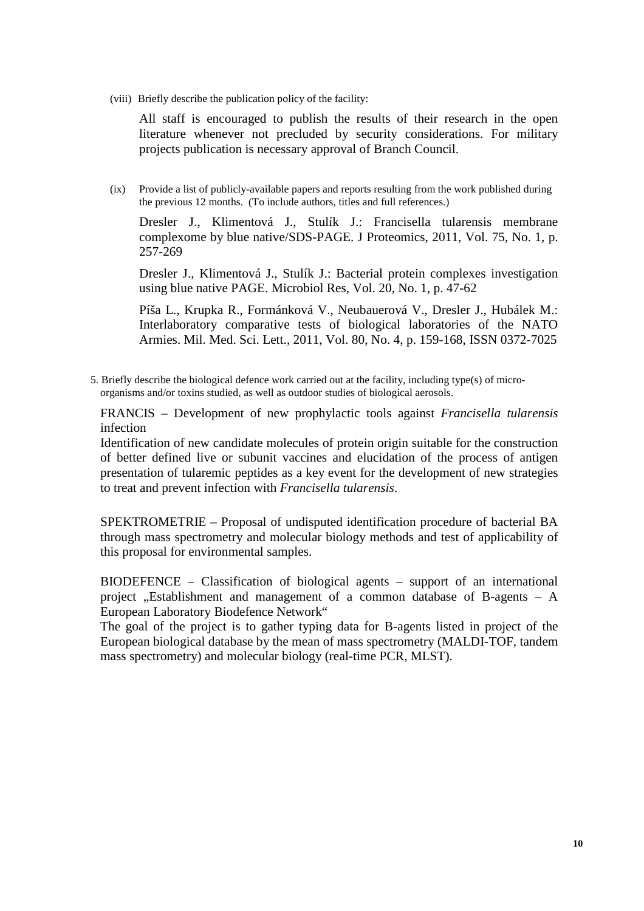All staff is encouraged to publish the results of their research in the open literature whenever not precluded by security considerations. For military projects publication is necessary approval of Branch Council.

(ix) Provide a list of publicly-available papers and reports resulting from the work published during the previous 12 months. (To include authors, titles and full references.)

Dresler J., Klimentová J., Stulík J.: Francisella tularensis membrane complexome by blue native/SDS-PAGE. J Proteomics, 2011, Vol. 75, No. 1, p. 257-269

Dresler J., Klimentová J., Stulík J.: Bacterial protein complexes investigation using blue native PAGE. Microbiol Res, Vol. 20, No. 1, p. 47-62

Píša L., Krupka R., Formánková V., Neubauerová V., Dresler J., Hubálek M.: Interlaboratory comparative tests of biological laboratories of the NATO Armies. Mil. Med. Sci. Lett., 2011, Vol. 80, No. 4, p. 159-168, ISSN 0372-7025

5. Briefly describe the biological defence work carried out at the facility, including type(s) of microorganisms and/or toxins studied, as well as outdoor studies of biological aerosols.

FRANCIS – Development of new prophylactic tools against *Francisella tularensis* infection

Identification of new candidate molecules of protein origin suitable for the construction of better defined live or subunit vaccines and elucidation of the process of antigen presentation of tularemic peptides as a key event for the development of new strategies to treat and prevent infection with *Francisella tularensis*.

SPEKTROMETRIE – Proposal of undisputed identification procedure of bacterial BA through mass spectrometry and molecular biology methods and test of applicability of this proposal for environmental samples.

BIODEFENCE – Classification of biological agents – support of an international project  $n$ . Establishment and management of a common database of B-agents – A European Laboratory Biodefence Network"

The goal of the project is to gather typing data for B-agents listed in project of the European biological database by the mean of mass spectrometry (MALDI-TOF, tandem mass spectrometry) and molecular biology (real-time PCR, MLST).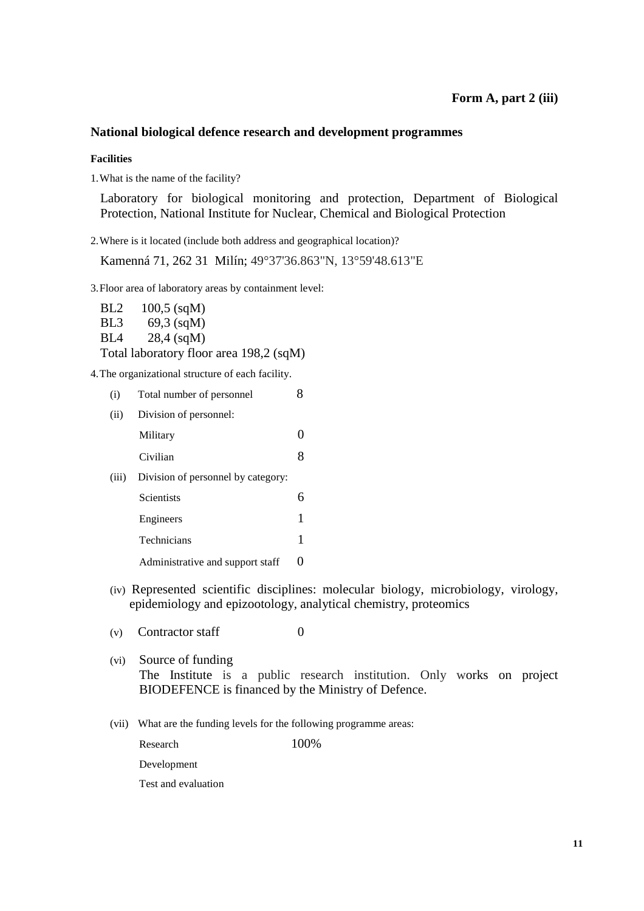### **National biological defence research and development programmes**

**Facilities** 

1. What is the name of the facility?

Laboratory for biological monitoring and protection, Department of Biological Protection, National Institute for Nuclear, Chemical and Biological Protection

2. Where is it located (include both address and geographical location)?

Kamenná 71, 262 31 Milín; 49°37'36.863"N, 13°59'48.613"E

3. Floor area of laboratory areas by containment level:

BL2 100,5 (sqM) BL3 69,3 (sqM) BL4 28,4 (sqM) Total laboratory floor area 198,2 (sqM)

4. The organizational structure of each facility.

| (i)   | Total number of personnel          |  |
|-------|------------------------------------|--|
| (ii)  | Division of personnel:             |  |
|       | Military                           |  |
|       | Civilian                           |  |
| (iii) | Division of personnel by category: |  |
|       | Scientists                         |  |
|       | Engineers                          |  |
|       | Technicians                        |  |
|       | Administrative and support staff   |  |

(iv) Represented scientific disciplines: molecular biology, microbiology, virology, epidemiology and epizootology, analytical chemistry, proteomics

(v) Contractor staff  $0$ 

- (vi) Source of funding The Institute is a public research institution. Only works on project BIODEFENCE is financed by the Ministry of Defence.
- (vii) What are the funding levels for the following programme areas:

Research 100%

Development

Test and evaluation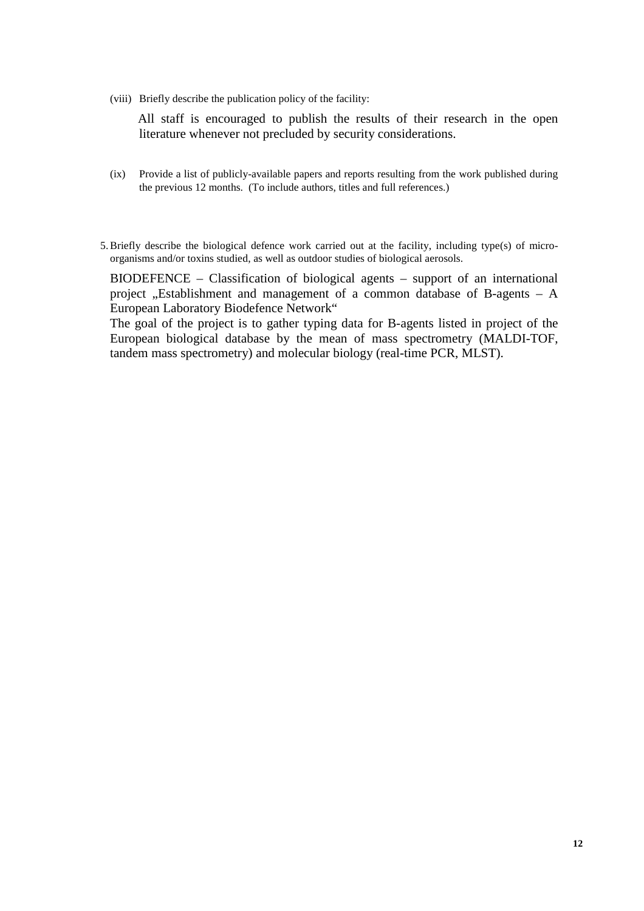All staff is encouraged to publish the results of their research in the open literature whenever not precluded by security considerations.

- (ix) Provide a list of publicly-available papers and reports resulting from the work published during the previous 12 months. (To include authors, titles and full references.)
- 5.Briefly describe the biological defence work carried out at the facility, including type(s) of microorganisms and/or toxins studied, as well as outdoor studies of biological aerosols.

BIODEFENCE – Classification of biological agents – support of an international project , Establishment and management of a common database of B-agents  $- A$ European Laboratory Biodefence Network"

The goal of the project is to gather typing data for B-agents listed in project of the European biological database by the mean of mass spectrometry (MALDI-TOF, tandem mass spectrometry) and molecular biology (real-time PCR, MLST).